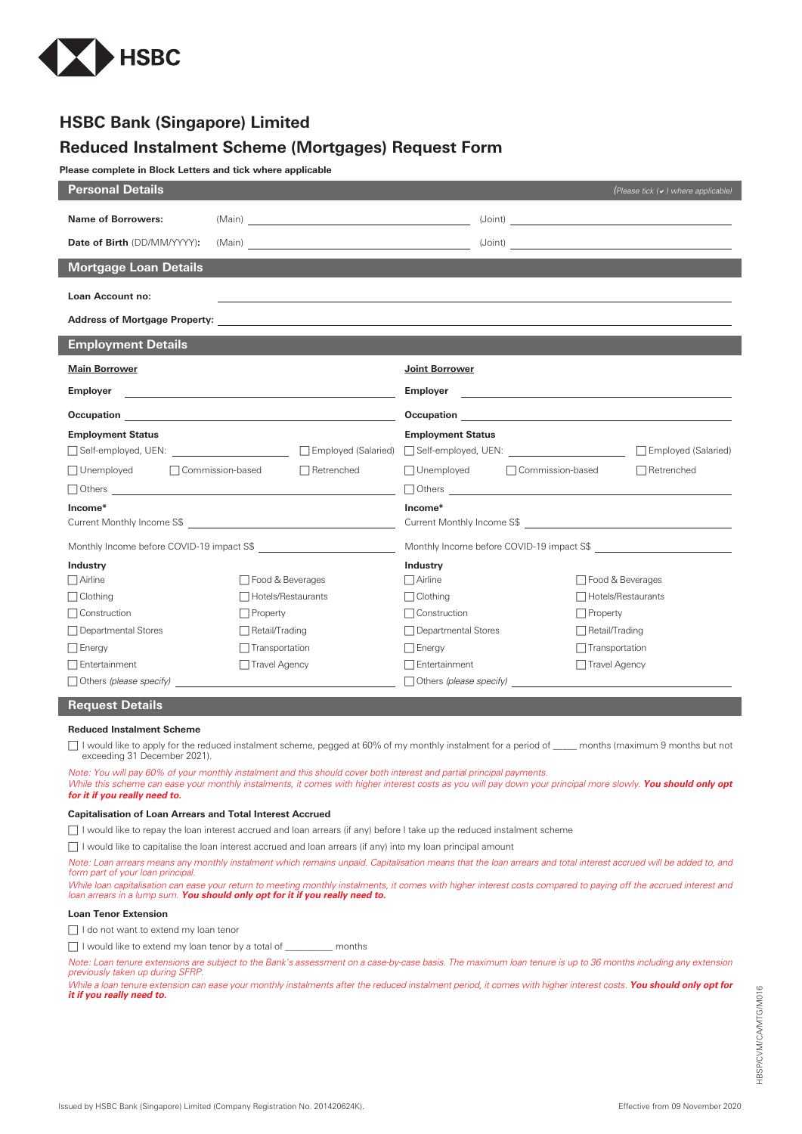

# **HSBC Bank (Singapore) Limited**

## **Reduced Instalment Scheme (Mortgages) Request Form**

**Please complete in Block Letters and tick where applicable**

| <b>Personal Details</b>                                                                                                                  |                       |                                                                   | (Please tick (v) where applicable) |
|------------------------------------------------------------------------------------------------------------------------------------------|-----------------------|-------------------------------------------------------------------|------------------------------------|
| <b>Name of Borrowers:</b>                                                                                                                |                       |                                                                   |                                    |
| Date of Birth (DD/MM/YYYY):                                                                                                              |                       |                                                                   |                                    |
| <b>Mortgage Loan Details</b>                                                                                                             |                       |                                                                   |                                    |
| Loan Account no:                                                                                                                         |                       |                                                                   |                                    |
|                                                                                                                                          |                       |                                                                   |                                    |
| <b>Employment Details</b>                                                                                                                |                       |                                                                   |                                    |
| <b>Main Borrower</b>                                                                                                                     |                       | <b>Joint Borrower</b>                                             |                                    |
| <b>Employer</b><br><u> 1989 - Johann Harry Harry Harry Harry Harry Harry Harry Harry Harry Harry Harry Harry Harry Harry Harry Harry</u> |                       |                                                                   |                                    |
|                                                                                                                                          |                       |                                                                   |                                    |
| <b>Employment Status</b>                                                                                                                 |                       | <b>Employment Status</b>                                          |                                    |
|                                                                                                                                          |                       |                                                                   | Employed (Salaried)                |
| □ Unemployed □ Commission-based<br>$\Box$ Retrenched                                                                                     |                       | $\Box$ Unemployed<br>□ Commission-based                           | $\Box$ Retrenched                  |
|                                                                                                                                          |                       |                                                                   | $\Box$ Others $\Box$               |
| Income*                                                                                                                                  |                       | Income*                                                           |                                    |
|                                                                                                                                          |                       | Current Monthly Income S\$ 600 million and the Monthly Income S\$ |                                    |
|                                                                                                                                          |                       |                                                                   |                                    |
| Industry                                                                                                                                 |                       | Industry                                                          |                                    |
| $\Box$ Airline                                                                                                                           | □ Food & Beverages    | $\Box$ Airline                                                    | □ Food & Beverages                 |
| $\Box$ Clothing                                                                                                                          | □ Hotels/Restaurants  | $\Box$ Clothing                                                   | □ Hotels/Restaurants               |
| $\Box$ Construction                                                                                                                      | $\Box$ Property       | $\Box$ Construction                                               | $\Box$ Property                    |
| □ Departmental Stores                                                                                                                    | $\Box$ Retail/Trading | □ Departmental Stores                                             | $\Box$ Retail/Trading              |
| $\Box$ Energy                                                                                                                            | $\Box$ Transportation | $\Box$ Energy                                                     | $\Box$ Transportation              |
| $\Box$ Entertainment                                                                                                                     | $\Box$ Travel Agency  | Entertainment                                                     | $\Box$ Travel Agency               |
| $\Box$ Others (please specify)                                                                                                           |                       | $\Box$ Others (please specify)                                    |                                    |

## **Request Details**

## **Reduced Instalment Scheme**

 I would like to apply for the reduced instalment scheme, pegged at 60% of my monthly instalment for a period of \_\_\_\_\_ months (maximum 9 months but not exceeding 31 December 2021).

*Note: You will pay 60% of your monthly instalment and this should cover both interest and partial principal payments.*

*While this scheme can ease your monthly instalments, it comes with higher interest costs as you will pay down your principal more slowly. You should only opt for it if you really need to.*

## **Capitalisation of Loan Arrears and Total Interest Accrued**

I would like to repay the loan interest accrued and loan arrears (if any) before I take up the reduced instalment scheme

□ I would like to capitalise the loan interest accrued and loan arrears (if any) into my loan principal amount

*Note: Loan arrears means any monthly instalment which remains unpaid. Capitalisation means that the loan arrears and total interest accrued will be added to, and form part of your loan principal. While loan capitalisation can ease your return to meeting monthly instalments, it comes with higher interest costs compared to paying off the accrued interest and*

*loan arrears in a lump sum. You should only opt for it if you really need to.*

### **Loan Tenor Extension**

I do not want to extend my loan tenor

I would like to extend my loan tenor by a total of \_\_\_\_\_\_\_\_\_\_ months

Note: Loan tenure extensions are subject to the Bank's assessment on a case-by-case basis. The maximum loan tenure is up to 36 months including any extension<br>previously taken up during SFRP.

While a loan tenure extension can ease your monthly instalments after the reduced instalment period, it comes with higher interest costs. **You should only opt for**<br>**it if you really need to.**